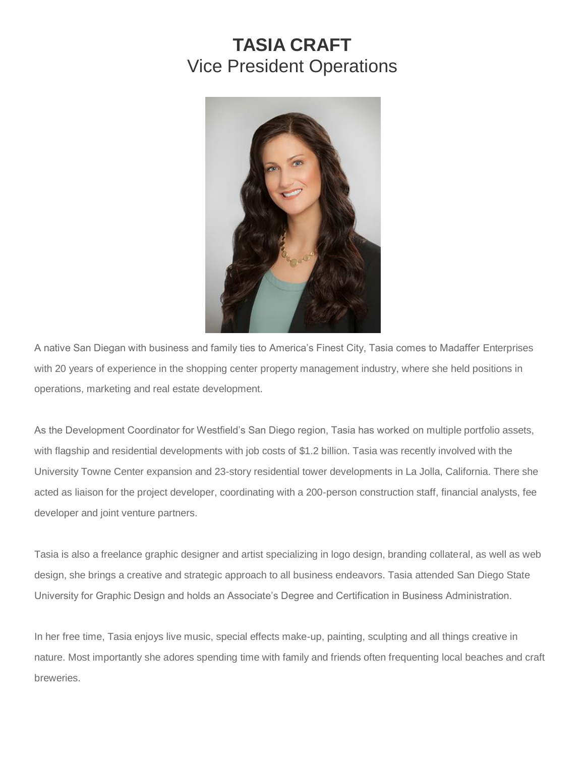## **TASIA CRAFT** Vice President Operations



A native San Diegan with business and family ties to America's Finest City, Tasia comes to Madaffer Enterprises with 20 years of experience in the shopping center property management industry, where she held positions in operations, marketing and real estate development.

As the Development Coordinator for Westfield's San Diego region, Tasia has worked on multiple portfolio assets, with flagship and residential developments with job costs of \$1.2 billion. Tasia was recently involved with the University Towne Center expansion and 23-story residential tower developments in La Jolla, California. There she acted as liaison for the project developer, coordinating with a 200-person construction staff, financial analysts, fee developer and joint venture partners.

Tasia is also a freelance graphic designer and artist specializing in logo design, branding collateral, as well as web design, she brings a creative and strategic approach to all business endeavors. Tasia attended San Diego State University for Graphic Design and holds an Associate's Degree and Certification in Business Administration.

In her free time, Tasia enjoys live music, special effects make-up, painting, sculpting and all things creative in nature. Most importantly she adores spending time with family and friends often frequenting local beaches and craft breweries.